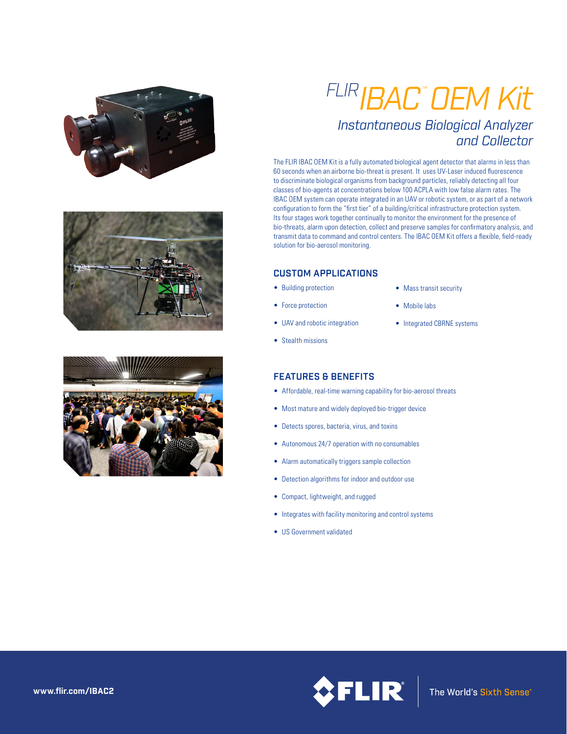





# *FLIRIBAC*™ *OEM Kit*

## *Instantaneous Biological Analyzer and Collector*

The FLIR IBAC OEM Kit is a fully automated biological agent detector that alarms in less than 60 seconds when an airborne bio-threat is present. It uses UV-Laser induced fluorescence to discriminate biological organisms from background particles, reliably detecting all four classes of bio-agents at concentrations below 100 ACPLA with low false alarm rates. The IBAC OEM system can operate integrated in an UAV or robotic system, or as part of a network configuration to form the "first tier" of a building/critical infrastructure protection system. Its four stages work together continually to monitor the environment for the presence of bio-threats, alarm upon detection, collect and preserve samples for confirmatory analysis, and transmit data to command and control centers. The IBAC OEM Kit offers a flexible, field-ready solution for bio-aerosol monitoring.

### CUSTOM APPLICATIONS

- Building protection • Force protection
- Mass transit security

• Integrated CBRNE systems

- Mobile labs
- UAV and robotic integration
- Stealth missions

### FEATURES & BENEFITS

- Affordable, real-time warning capability for bio-aerosol threats
- Most mature and widely deployed bio-trigger device
- Detects spores, bacteria, virus, and toxins
- Autonomous 24/7 operation with no consumables
- Alarm automatically triggers sample collection
- Detection algorithms for indoor and outdoor use
- Compact, lightweight, and rugged
- Integrates with facility monitoring and control systems
- • US Government validated